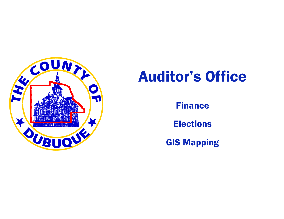

# Auditor's Office

Finance

Elections

GIS Mapping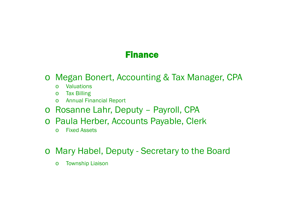### Finance

- o Megan Bonert, Accounting & Tax Manager, CPA
	- o**Valuations**
	- oTax Billing
	- o Annual Financial Report
- o Rosanne Lahr, Deputy Payroll, CPA
- o Paula Herber, Accounts Payable, Clerk
	- oFixed Assets
- o Mary Habel, Deputy Secretary to the Board
	- oTownship Liaison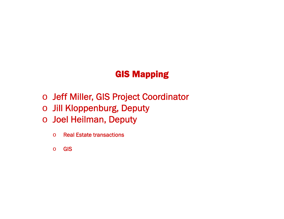## GIS Mapping

- o Jeff Miller, GIS Project Coordinator
- o Jill Kloppenburg, Deputy
- o Joel Heilman, Deputy
	- oReal Estate transactions
	- oGIS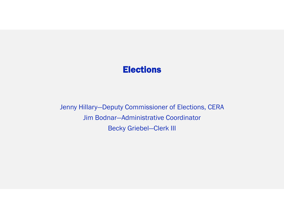#### Elections

Jenny Hillary—Deputy Commissioner of Elections, CERA Jim Bodnar—Administrative Coordinator Becky Griebel—Clerk III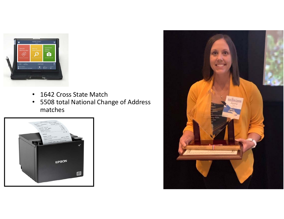

- •1642 Cross State Match
- • 5508 total National Change of Address matches



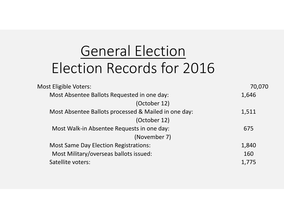# General Election Election Records for 2016

| <b>Most Eligible Voters:</b>                         | 70,070 |
|------------------------------------------------------|--------|
| Most Absentee Ballots Requested in one day:          | 1,646  |
| (October 12)                                         |        |
| Most Absentee Ballots processed & Mailed in one day: | 1,511  |
| (October 12)                                         |        |
| Most Walk-in Absentee Requests in one day:           | 675    |
| (November 7)                                         |        |
| <b>Most Same Day Election Registrations:</b>         | 1,840  |
| Most Military/overseas ballots issued:               | 160    |
| Satellite voters:                                    | 1,775  |
|                                                      |        |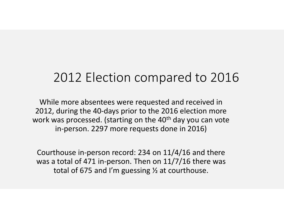## 2012 Election compared to 2016

While more absentees were requested and received in 2012, during the 40‐days prior to the 2016 election more work was processed. (starting on the 40<sup>th</sup> day you can vote in‐person. 2297 more requests done in 2016)

Courthouse in‐person record: 234 on 11/4/16 and there was a total of 471 in-person. Then on 11/7/16 there was total of 675 and I'm guessing ½ at courthouse.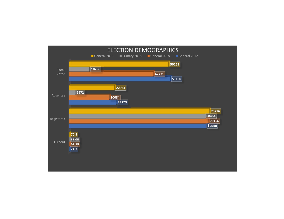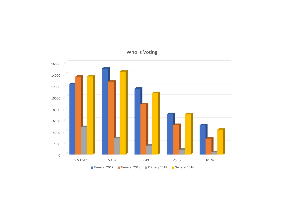

#### Who is Voting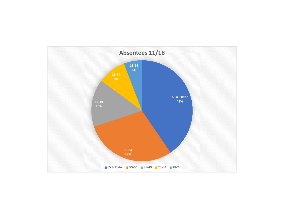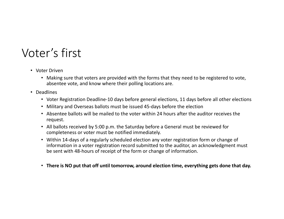## Voter's first

- Voter Driven
	- Making sure that voters are provided with the forms that they need to be registered to vote, absentee vote, and know where their polling locations are.
- Deadlines
	- Voter Registration Deadline‐10 days before general elections, 11 days before all other elections
	- Military and Overseas ballots must be issued 45‐days before the election
	- Absentee ballots will be mailed to the voter within 24 hours after the auditor receives the request.
	- All ballots received by 5:00 p.m. the Saturday before a General must be reviewed for completeness or voter must be notified immediately.
	- Within 14-days of a regularly scheduled election any voter registration form or change of information in a voter registration record submitted to the auditor, an acknowledgment must be sent with 48‐hours of receipt of the form or change of information.
	- **There is NO put that off until tomorrow, around election time, everything gets done that day.**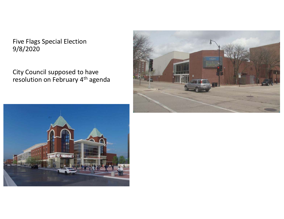Five Flags Special Election 9/8/2020

City Council supposed to have resolution on February 4<sup>th</sup> agenda



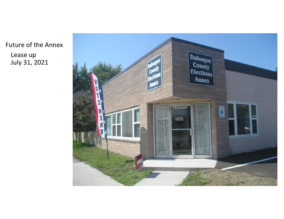Future of the Annex Lease up July 31, 2021